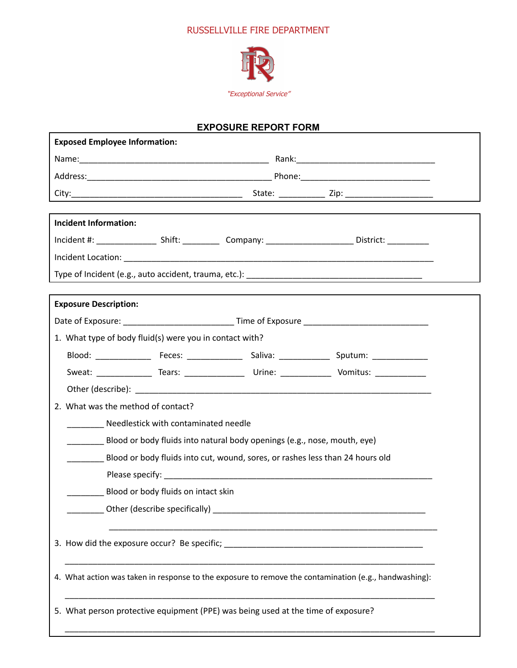## RUSSELLVILLE FIRE DEPARTMENT



## **EXPOSURE REPORT FORM**

Г

| <b>Exposed Employee Information:</b>                    |  |                                                                                                                                                                                                                                |                                                                                                                                                                                                                                |
|---------------------------------------------------------|--|--------------------------------------------------------------------------------------------------------------------------------------------------------------------------------------------------------------------------------|--------------------------------------------------------------------------------------------------------------------------------------------------------------------------------------------------------------------------------|
|                                                         |  |                                                                                                                                                                                                                                |                                                                                                                                                                                                                                |
|                                                         |  |                                                                                                                                                                                                                                |                                                                                                                                                                                                                                |
|                                                         |  |                                                                                                                                                                                                                                |                                                                                                                                                                                                                                |
|                                                         |  |                                                                                                                                                                                                                                |                                                                                                                                                                                                                                |
| <b>Incident Information:</b>                            |  |                                                                                                                                                                                                                                |                                                                                                                                                                                                                                |
|                                                         |  |                                                                                                                                                                                                                                |                                                                                                                                                                                                                                |
|                                                         |  |                                                                                                                                                                                                                                |                                                                                                                                                                                                                                |
|                                                         |  |                                                                                                                                                                                                                                |                                                                                                                                                                                                                                |
| <b>Exposure Description:</b>                            |  |                                                                                                                                                                                                                                |                                                                                                                                                                                                                                |
|                                                         |  |                                                                                                                                                                                                                                |                                                                                                                                                                                                                                |
| 1. What type of body fluid(s) were you in contact with? |  |                                                                                                                                                                                                                                |                                                                                                                                                                                                                                |
|                                                         |  |                                                                                                                                                                                                                                |                                                                                                                                                                                                                                |
|                                                         |  |                                                                                                                                                                                                                                |                                                                                                                                                                                                                                |
|                                                         |  |                                                                                                                                                                                                                                |                                                                                                                                                                                                                                |
| 2. What was the method of contact?                      |  |                                                                                                                                                                                                                                |                                                                                                                                                                                                                                |
| Needlestick with contaminated needle                    |  |                                                                                                                                                                                                                                |                                                                                                                                                                                                                                |
|                                                         |  | Blood or body fluids into natural body openings (e.g., nose, mouth, eye)                                                                                                                                                       |                                                                                                                                                                                                                                |
|                                                         |  | Blood or body fluids into cut, wound, sores, or rashes less than 24 hours old                                                                                                                                                  |                                                                                                                                                                                                                                |
|                                                         |  |                                                                                                                                                                                                                                |                                                                                                                                                                                                                                |
| Blood or body fluids on intact skin                     |  |                                                                                                                                                                                                                                |                                                                                                                                                                                                                                |
|                                                         |  | Other (describe specifically) example and the state of the state of the state of the state of the state of the state of the state of the state of the state of the state of the state of the state of the state of the state o |                                                                                                                                                                                                                                |
|                                                         |  |                                                                                                                                                                                                                                |                                                                                                                                                                                                                                |
|                                                         |  |                                                                                                                                                                                                                                | 3. How did the exposure occur? Be specific; Letter and the set of the set of the set of the set of the set of the set of the set of the set of the set of the set of the set of the set of the set of the set of the set of th |
|                                                         |  |                                                                                                                                                                                                                                |                                                                                                                                                                                                                                |
|                                                         |  |                                                                                                                                                                                                                                | 4. What action was taken in response to the exposure to remove the contamination (e.g., handwashing):                                                                                                                          |
|                                                         |  |                                                                                                                                                                                                                                |                                                                                                                                                                                                                                |
|                                                         |  | 5. What person protective equipment (PPE) was being used at the time of exposure?                                                                                                                                              |                                                                                                                                                                                                                                |
|                                                         |  |                                                                                                                                                                                                                                |                                                                                                                                                                                                                                |